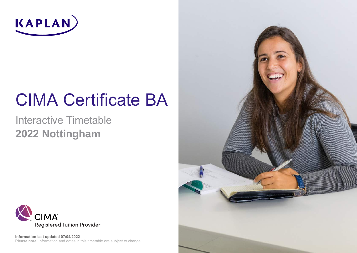

# CIMA Certificate BA

# Interactive Timetable **2022 Nottingham**



**Please note**: Information and dates in this timetable are subject to change. **Information last updated 07/04/2022**

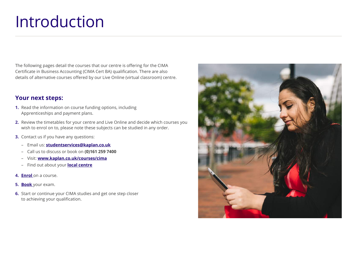# Introduction

The following pages detail the courses that our centre is offering for the CIMA Certificate in Business Accounting (CIMA Cert BA) qualification. There are also details of alternative courses offered by our Live Online (virtual classroom) centre.

### **Your next steps:**

- **1.** Read the information on course funding options, including Apprenticeships and payment plans.
- **2.** Review the timetables for your centre and Live Online and decide which courses you wish to enrol on to, please note these subjects can be studied in any order.
- **3.** Contact us if you have any questions:
	- Email us: **studentservices@kaplan.co.uk**
	- Call us to discuss or book on **(0)161 259 7400**
	- Visit: **www.kaplan.co.uk/courses/cima**
	- Find out about your **local centre**
- **4. Enrol** on a course.
- **5. Book** your exam.
- **6.** Start or continue your CIMA studies and get one step closer to achieving your qualification.

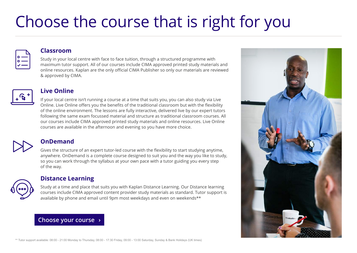# Choose the course that is right for you

#### **Classroom**

Study in your local centre with face to face tuition, through a structured programme with maximum tutor support. All of our courses include CIMA approved printed study materials and online resources. Kaplan are the only official CIMA Publisher so only our materials are reviewed & approved by CIMA.



#### **Live Online**

If your local centre isn't running a course at a time that suits you, you can also study via Live Online. Live Online offers you the benefits of the traditional classroom but with the flexibility of the online environment. The lessons are fully interactive, delivered live by our expert tutors following the same exam focussed material and structure as traditional classroom courses. All our courses include CIMA approved printed study materials and online resources. Live Online courses are available in the afternoon and evening so you have more choice.



### **OnDemand**

Gives the structure of an expert tutor-led course with the flexibility to start studying anytime, anywhere. OnDemand is a complete course designed to suit you and the way you like to study, so you can work through the syllabus at your own pace with a tutor guiding you every step of the way.

### **Distance Learning**

Study at a time and place that suits you with Kaplan Distance Learning. Our Distance learning courses include CIMA approved content provider study materials as standard. Tutor support is available by phone and email until 9pm most weekdays and even on weekends\*\*

### **Choose your course ›**

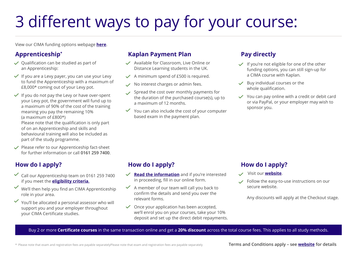# 3 different ways to pay for your course:

View our CIMA funding options webpage **here**.

### **Apprenticeship\***

- $\vee$  Qualification can be studied as part of an Apprenticeship:
- $\checkmark$  If you are a Levy payer, you can use your Levy to fund the Apprenticeship with a maximum of £8,000\* coming out of your Levy pot.
- $\checkmark$  If you do not pay the Levy or have over-spent your Levy pot, the government will fund up to a maximum of 90% of the cost of the training meaning you pay the remaining 10% (a maximum of £800\*)

Please note that the qualification is only part of on an Apprenticeship and skills and behavioural training will also be included as part of the study programme.

 $\vee$  Please refer to our Apprenticeship fact-sheet for further information or call **0161 259 7400**.

# **How do I apply?**

- $\checkmark$  Call our Apprenticeship team on 0161 259 7400 if you meet the **eligibility criteria**.
- We'll then help you find an CIMA Apprenticeship role in your area.
- You'll be allocated a personal assessor who will support you and your employer throughout your CIMA Certificate studies.

### **Kaplan Payment Plan**

- Available for Classroom, Live Online or Distance Learning students in the UK.
- $\checkmark$  A minimum spend of £500 is required.
- $\vee$  No interest charges or admin fees.
- Spread the cost over monthly payments for the duration of the purchased course(s), up to a maximum of 12 months.
- $\checkmark$  You can also include the cost of your computer based exam in the payment plan.

### **Pay directly**

- $\checkmark$  If you're not eligible for one of the other funding options, you can still sign-up for a CIMA course with Kaplan.
- $\vee$  Buy individual courses or the whole qualification.
- $\checkmark$  You can pay online with a credit or debit card or via PayPal, or your employer may wish to sponsor you.

# **How do I apply?**

- **Example 2 Read the information** and if you're interested in proceeding, fill in our online form.
- $\checkmark$  A member of our team will call you back to confirm the details and send you over the relevant forms.
- $\checkmark$  Once your application has been accepted. we'll enrol you on your courses, take your 10% deposit and set up the direct debit repayments.

# **How do I apply?**

- Visit our **website**.
- Follow the easy-to-use instructions on our  $\mathscr{L}$ secure website.

Any discounts will apply at the Checkout stage.

#### Buy 2 or more **Certificate courses** in the same transaction online and get a **20% discount** across the total course fees. This applies to all study methods.

\* Please note that exam and registration fees are payable separatelyPlease note that exam and registration fees are payable separately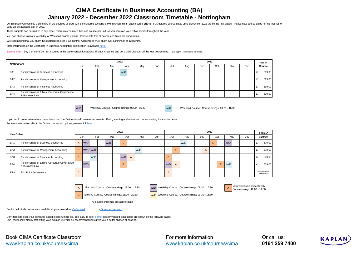#### **CIMA Certificate in Business Accounting (BA) January 2022 - December 2022 Classroom Timetable - Nottingham**

On this page you can see a summary of the courses offered, with the coloured sections showing which month each course starts. Full, detailed course dates up to December 2022 are on the next pages. Please note course dates 2023 will be available later in 2022.

These subjects can be studied in any order. There may be more than one course per unit, so you can start your CIMA studies throughout the year.

You can choose from our Weekday or Weekend course options. Please note that all course end times are approximate.

We recommend that you study this qualification over 6-12 months; Apprentices must study over a minimum of 12 months.

[More information on the Certificate in Business Accounting qualification is available](https://kaplan.co.uk/courses/cima) here.

Special offer: Buy 2 or more Cert BA courses in the same transaction across all study channels and get a 20% discount off the total course fees. T&Cs apply - see website for details.

| Nottingham      |                                                                | 2022 |     |  |     |     |     |  |     |  |     |  | 2022 |     |     |  |     |  |     |  |     |  |  |        |  |
|-----------------|----------------------------------------------------------------|------|-----|--|-----|-----|-----|--|-----|--|-----|--|------|-----|-----|--|-----|--|-----|--|-----|--|--|--------|--|
|                 |                                                                | Jar  | Feb |  | Mar |     | Apr |  | Mav |  | Jun |  | Jul  | Auo | Sep |  | Oct |  | Nov |  | Dec |  |  | Course |  |
| BA <sub>1</sub> | <b>Fundamentals of Business Economics</b>                      |      |     |  |     | W/E |     |  |     |  |     |  |      |     |     |  |     |  |     |  |     |  |  | 699.00 |  |
| BA <sub>2</sub> | Fundamentals of Management Accounting                          |      |     |  |     |     |     |  |     |  |     |  |      |     |     |  |     |  |     |  |     |  |  | 699.00 |  |
| BA <sub>3</sub> | Fundamentals of Financial Accounting                           |      |     |  |     |     |     |  |     |  |     |  |      |     |     |  |     |  |     |  |     |  |  | 699.00 |  |
| BA4             | Fundamentals of Ethics, Corporate Governance<br>& Business Law |      |     |  |     |     |     |  |     |  |     |  |      |     |     |  |     |  |     |  |     |  |  | 699.00 |  |

Weekday Course. Course timings: 09:30 - 16:30

W/D Weekday Course. Course timings: 09:30 - 16:30 W/E Weekend Course. Course timings: 09:30 - 16:30

If you would prefer alternative course dates, our Live Online (virtual classroom) centre is offering evening and afternoon courses starting the months below. [For more information about Live Online courses and prices, please click](https://kaplan.co.uk/docs/default-source/pdfs/timetables/cima/certificate/cima-tt-liveonline-pt-certificate.pdf) here

| Live Online     |                                                                |                | 2022 |         |  |     |  |     |   |     |  |     |  |              | 2022 |     |  |     |                |   |     |     |     |     |        |                                 |
|-----------------|----------------------------------------------------------------|----------------|------|---------|--|-----|--|-----|---|-----|--|-----|--|--------------|------|-----|--|-----|----------------|---|-----|-----|-----|-----|--------|---------------------------------|
|                 |                                                                | Jan            |      | Feb     |  | Mar |  | Apr |   | May |  | Jun |  | Jul          |      | Aug |  | Sep |                |   | Oct |     | Nov | Dec | Course |                                 |
| BA <sub>1</sub> | <b>Fundamentals of Business Economics</b>                      | $\overline{A}$ | W/D  |         |  | W/D |  | E.  |   |     |  |     |  |              |      | W/E |  |     |                | E |     | W/D |     |     |        | 579.00                          |
| BA <sub>2</sub> | Fundamentals of Management Accounting                          | E.             |      | W/D W/D |  |     |  |     |   | W/E |  |     |  |              | E    |     |  |     | $\overline{A}$ |   |     |     |     |     |        | 579.00                          |
| BA <sub>3</sub> | Fundamentals of Financial Accounting                           | E              |      | W/E     |  |     |  | W/D | A |     |  |     |  | E            |      |     |  |     |                |   |     |     |     |     |        | 579.00                          |
| BA4             | Fundamentals of Ethics, Corporate Governance<br>& Business Law |                | W/D  |         |  |     |  | ь.  |   |     |  |     |  | W/D          | A    |     |  |     |                |   | E   | W/E |     |     |        | 579.00                          |
| EPA             | <b>End Point Assessment</b>                                    | $\mathsf{A}$   |      |         |  |     |  |     |   |     |  |     |  | $\mathsf{A}$ |      |     |  |     |                |   |     |     |     |     |        | Apprenticeship<br>students only |

E Evening Course. Course timings:  $18:00 - 20:30$  W/E



A Afternoon Course. Course timings: 13:00 - 15:30 W/D Weekday Course. Course timings: 09:30 - 16:30 Apprenticeship students only.

Weekend Course. Course timings: 09:30 - 16:30

Course timings: 12:00 - 14:30

All course end times are approximate

[Further self study courses are available all year around via O](https://kaplan.co.uk/courses/cima)nDemand [or Dist](https://kaplan.co.uk/study-methods/distance-learning)ance Learning.

[Don't forget to book your computer based exams with us too. It is easy to book](https://kaplan.co.uk/exams) online. Recommended exam dates are shown on the following pages. [Our result](https://kaplan.co.uk/exams)s show clearly that sitting your exam in line with our recommendations gives you a better chance of passing.

Book CIMA Certificate Classroom www.kaplan.co.uk/courses/cima

For more information www.kaplan.co.uk/courses/cima Or call us: **0161 259 7400**